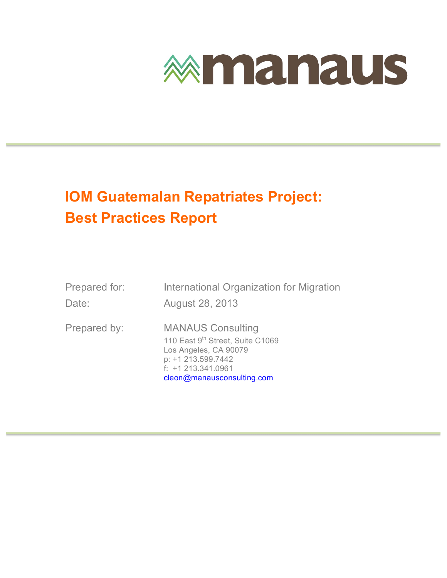

### **IOM Guatemalan Repatriates Project: Best Practices Report**

| Prepared for: | International Organization for Migration                                                                                                                         |
|---------------|------------------------------------------------------------------------------------------------------------------------------------------------------------------|
| Date:         | August 28, 2013                                                                                                                                                  |
| Prepared by:  | <b>MANAUS Consulting</b><br>110 East 9th Street, Suite C1069<br>Los Angeles, CA 90079<br>p: +1 213.599.7442<br>$f: +1213.341.0961$<br>cleon@manausconsulting.com |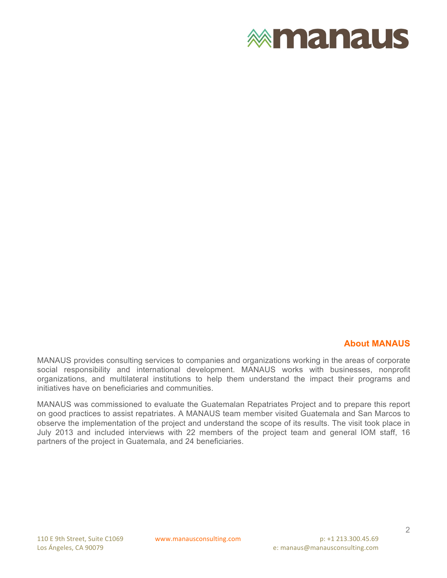

#### **About MANAUS**

MANAUS provides consulting services to companies and organizations working in the areas of corporate social responsibility and international development. MANAUS works with businesses, nonprofit organizations, and multilateral institutions to help them understand the impact their programs and initiatives have on beneficiaries and communities.

MANAUS was commissioned to evaluate the Guatemalan Repatriates Project and to prepare this report on good practices to assist repatriates. A MANAUS team member visited Guatemala and San Marcos to observe the implementation of the project and understand the scope of its results. The visit took place in July 2013 and included interviews with 22 members of the project team and general IOM staff, 16 partners of the project in Guatemala, and 24 beneficiaries.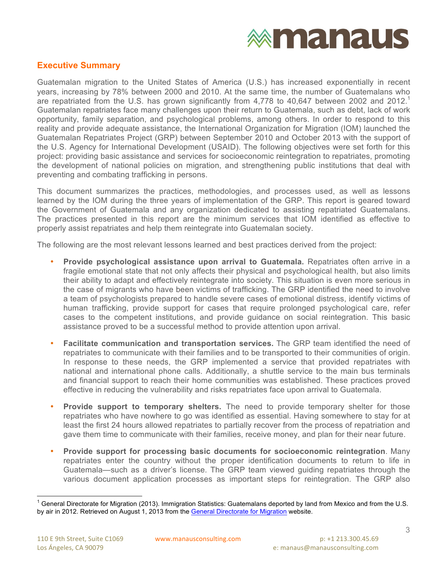

#### **Executive Summary**

Guatemalan migration to the United States of America (U.S.) has increased exponentially in recent years, increasing by 78% between 2000 and 2010. At the same time, the number of Guatemalans who are repatriated from the U.S. has grown significantly from 4,778 to 40,647 between 2002 and 2012.<sup>1</sup> Guatemalan repatriates face many challenges upon their return to Guatemala, such as debt, lack of work opportunity, family separation, and psychological problems, among others. In order to respond to this reality and provide adequate assistance, the International Organization for Migration (IOM) launched the Guatemalan Repatriates Project (GRP) between September 2010 and October 2013 with the support of the U.S. Agency for International Development (USAID). The following objectives were set forth for this project: providing basic assistance and services for socioeconomic reintegration to repatriates, promoting the development of national policies on migration, and strengthening public institutions that deal with preventing and combating trafficking in persons.

This document summarizes the practices, methodologies, and processes used, as well as lessons learned by the IOM during the three years of implementation of the GRP. This report is geared toward the Government of Guatemala and any organization dedicated to assisting repatriated Guatemalans. The practices presented in this report are the minimum services that IOM identified as effective to properly assist repatriates and help them reintegrate into Guatemalan society.

The following are the most relevant lessons learned and best practices derived from the project:

- **Provide psychological assistance upon arrival to Guatemala.** Repatriates often arrive in a fragile emotional state that not only affects their physical and psychological health, but also limits their ability to adapt and effectively reintegrate into society. This situation is even more serious in the case of migrants who have been victims of trafficking. The GRP identified the need to involve a team of psychologists prepared to handle severe cases of emotional distress, identify victims of human trafficking, provide support for cases that require prolonged psychological care, refer cases to the competent institutions, and provide guidance on social reintegration. This basic assistance proved to be a successful method to provide attention upon arrival.
- **Facilitate communication and transportation services.** The GRP team identified the need of repatriates to communicate with their families and to be transported to their communities of origin. In response to these needs, the GRP implemented a service that provided repatriates with national and international phone calls. Additionally, a shuttle service to the main bus terminals and financial support to reach their home communities was established. These practices proved effective in reducing the vulnerability and risks repatriates face upon arrival to Guatemala.
- **Provide support to temporary shelters.** The need to provide temporary shelter for those repatriates who have nowhere to go was identified as essential. Having somewhere to stay for at least the first 24 hours allowed repatriates to partially recover from the process of repatriation and gave them time to communicate with their families, receive money, and plan for their near future.
- **Provide support for processing basic documents for socioeconomic reintegration**. Many repatriates enter the country without the proper identification documents to return to life in Guatemala—such as a driver's license. The GRP team viewed guiding repatriates through the various document application processes as important steps for reintegration. The GRP also

General Directorate for Migration (2013). Immigration Statistics: Guatemalans deported by land from Mexico and from the U.S. by air in 2012. Retrieved on August 1, 2013 from the General Directorate for Migration website.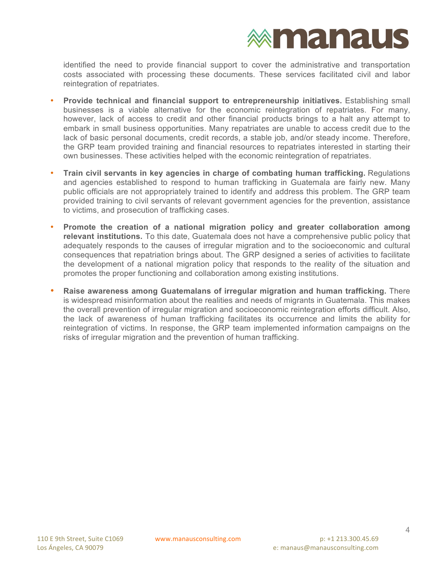## **<b>Exmanaus**

identified the need to provide financial support to cover the administrative and transportation costs associated with processing these documents. These services facilitated civil and labor reintegration of repatriates.

- **Provide technical and financial support to entrepreneurship initiatives.** Establishing small businesses is a viable alternative for the economic reintegration of repatriates. For many, however, lack of access to credit and other financial products brings to a halt any attempt to embark in small business opportunities. Many repatriates are unable to access credit due to the lack of basic personal documents, credit records, a stable job, and/or steady income. Therefore, the GRP team provided training and financial resources to repatriates interested in starting their own businesses. These activities helped with the economic reintegration of repatriates.
- **Train civil servants in key agencies in charge of combating human trafficking.** Regulations and agencies established to respond to human trafficking in Guatemala are fairly new. Many public officials are not appropriately trained to identify and address this problem. The GRP team provided training to civil servants of relevant government agencies for the prevention, assistance to victims, and prosecution of trafficking cases.
- **Promote the creation of a national migration policy and greater collaboration among relevant institutions.** To this date, Guatemala does not have a comprehensive public policy that adequately responds to the causes of irregular migration and to the socioeconomic and cultural consequences that repatriation brings about. The GRP designed a series of activities to facilitate the development of a national migration policy that responds to the reality of the situation and promotes the proper functioning and collaboration among existing institutions.
- **Raise awareness among Guatemalans of irregular migration and human trafficking.** There is widespread misinformation about the realities and needs of migrants in Guatemala. This makes the overall prevention of irregular migration and socioeconomic reintegration efforts difficult. Also, the lack of awareness of human trafficking facilitates its occurrence and limits the ability for reintegration of victims. In response, the GRP team implemented information campaigns on the risks of irregular migration and the prevention of human trafficking.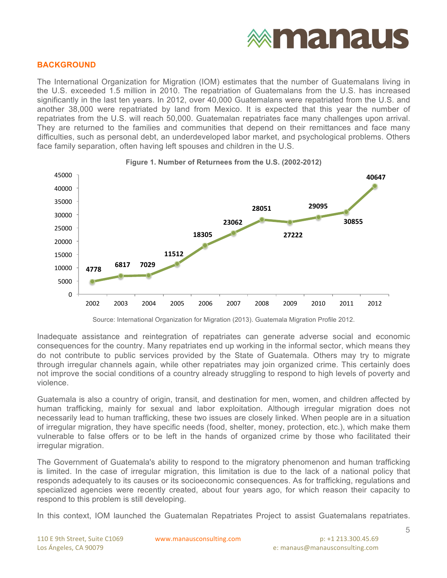# **exmanaus**

#### **BACKGROUND**

The International Organization for Migration (IOM) estimates that the number of Guatemalans living in the U.S. exceeded 1.5 million in 2010. The repatriation of Guatemalans from the U.S. has increased significantly in the last ten years. In 2012, over 40,000 Guatemalans were repatriated from the U.S. and another 38,000 were repatriated by land from Mexico. It is expected that this year the number of repatriates from the U.S. will reach 50,000. Guatemalan repatriates face many challenges upon arrival. They are returned to the families and communities that depend on their remittances and face many difficulties, such as personal debt, an underdeveloped labor market, and psychological problems. Others face family separation, often having left spouses and children in the U.S.



**Figure 1. Number of Returnees from the U.S. (2002-2012)**

Source: International Organization for Migration (2013). Guatemala Migration Profile 2012.

Inadequate assistance and reintegration of repatriates can generate adverse social and economic consequences for the country. Many repatriates end up working in the informal sector, which means they do not contribute to public services provided by the State of Guatemala. Others may try to migrate through irregular channels again, while other repatriates may join organized crime. This certainly does not improve the social conditions of a country already struggling to respond to high levels of poverty and violence.

Guatemala is also a country of origin, transit, and destination for men, women, and children affected by human trafficking, mainly for sexual and labor exploitation. Although irregular migration does not necessarily lead to human trafficking, these two issues are closely linked. When people are in a situation of irregular migration, they have specific needs (food, shelter, money, protection, etc.), which make them vulnerable to false offers or to be left in the hands of organized crime by those who facilitated their irregular migration.

The Government of Guatemala's ability to respond to the migratory phenomenon and human trafficking is limited. In the case of irregular migration, this limitation is due to the lack of a national policy that responds adequately to its causes or its socioeconomic consequences. As for trafficking, regulations and specialized agencies were recently created, about four years ago, for which reason their capacity to respond to this problem is still developing.

In this context, IOM launched the Guatemalan Repatriates Project to assist Guatemalans repatriates.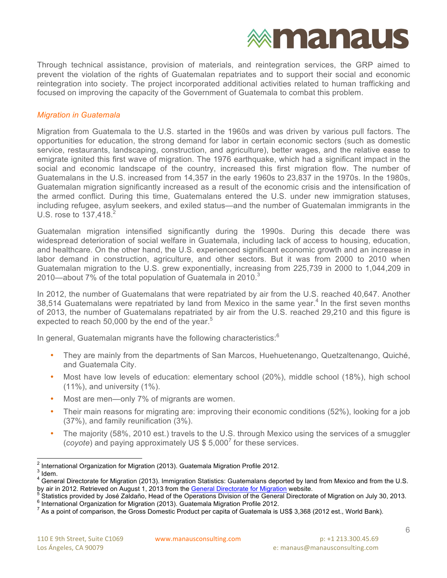

Through technical assistance, provision of materials, and reintegration services, the GRP aimed to prevent the violation of the rights of Guatemalan repatriates and to support their social and economic reintegration into society. The project incorporated additional activities related to human trafficking and focused on improving the capacity of the Government of Guatemala to combat this problem.

#### *Migration in Guatemala*

Migration from Guatemala to the U.S. started in the 1960s and was driven by various pull factors. The opportunities for education, the strong demand for labor in certain economic sectors (such as domestic service, restaurants, landscaping, construction, and agriculture), better wages, and the relative ease to emigrate ignited this first wave of migration. The 1976 earthquake, which had a significant impact in the social and economic landscape of the country, increased this first migration flow. The number of Guatemalans in the U.S. increased from 14,357 in the early 1960s to 23,837 in the 1970s. In the 1980s, Guatemalan migration significantly increased as a result of the economic crisis and the intensification of the armed conflict. During this time, Guatemalans entered the U.S. under new immigration statuses, including refugee, asylum seekers, and exiled status—and the number of Guatemalan immigrants in the U.S. rose to 137,418.<sup>2</sup>

Guatemalan migration intensified significantly during the 1990s. During this decade there was widespread deterioration of social welfare in Guatemala, including lack of access to housing, education, and healthcare. On the other hand, the U.S. experienced significant economic growth and an increase in labor demand in construction, agriculture, and other sectors. But it was from 2000 to 2010 when Guatemalan migration to the U.S. grew exponentially, increasing from 225,739 in 2000 to 1,044,209 in 2010—about 7% of the total population of Guatemala in 2010. $3$ 

In 2012, the number of Guatemalans that were repatriated by air from the U.S. reached 40,647. Another 38,514 Guatemalans were repatriated by land from Mexico in the same year. <sup>4</sup> In the first seven months of 2013, the number of Guatemalans repatriated by air from the U.S. reached 29,210 and this figure is expected to reach 50,000 by the end of the year.<sup>5</sup>

In general, Guatemalan migrants have the following characteristics: $6$ 

- They are mainly from the departments of San Marcos, Huehuetenango, Quetzaltenango, Quiché, and Guatemala City.
- Most have low levels of education: elementary school (20%), middle school (18%), high school (11%), and university (1%).
- Most are men—only 7% of migrants are women.
- Their main reasons for migrating are: improving their economic conditions (52%), looking for a job (37%), and family reunification (3%).
- The majority (58%, 2010 est.) travels to the U.S. through Mexico using the services of a smuggler (*coyote*) and paying approximately US \$ 5,000<sup>7</sup> for these services.

<sup>&</sup>lt;sup>2</sup> International Organization for Migration (2013). Guatemala Migration Profile 2012.<br><sup>3</sup> Idem.<br><sup>4</sup> General Directorate for Migration (2013). Immigration Statistics: Guatemalans deported by land from Mexico and from the

by air in 2012. Retrieved on August 1, 2013 from the <u>General Directorate for Migration</u> website.<br>
<sup>5</sup> Statistics provided by José Zaldaño, Head of the Operations Division of the General Directorate of Migration on July 30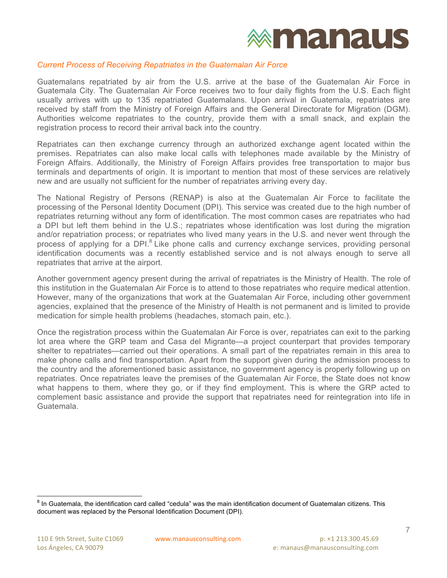#### *Current Process of Receiving Repatriates in the Guatemalan Air Force*

Guatemalans repatriated by air from the U.S. arrive at the base of the Guatemalan Air Force in Guatemala City. The Guatemalan Air Force receives two to four daily flights from the U.S. Each flight usually arrives with up to 135 repatriated Guatemalans. Upon arrival in Guatemala, repatriates are received by staff from the Ministry of Foreign Affairs and the General Directorate for Migration (DGM). Authorities welcome repatriates to the country, provide them with a small snack, and explain the registration process to record their arrival back into the country.

Repatriates can then exchange currency through an authorized exchange agent located within the premises. Repatriates can also make local calls with telephones made available by the Ministry of Foreign Affairs. Additionally, the Ministry of Foreign Affairs provides free transportation to major bus terminals and departments of origin. It is important to mention that most of these services are relatively new and are usually not sufficient for the number of repatriates arriving every day.

The National Registry of Persons (RENAP) is also at the Guatemalan Air Force to facilitate the processing of the Personal Identity Document (DPI). This service was created due to the high number of repatriates returning without any form of identification. The most common cases are repatriates who had a DPI but left them behind in the U.S.; repatriates whose identification was lost during the migration and/or repatriation process; or repatriates who lived many years in the U.S. and never went through the process of applying for a DPI $<sup>8</sup>$  Like phone calls and currency exchange services, providing personal</sup> identification documents was a recently established service and is not always enough to serve all repatriates that arrive at the airport.

Another government agency present during the arrival of repatriates is the Ministry of Health. The role of this institution in the Guatemalan Air Force is to attend to those repatriates who require medical attention. However, many of the organizations that work at the Guatemalan Air Force, including other government agencies, explained that the presence of the Ministry of Health is not permanent and is limited to provide medication for simple health problems (headaches, stomach pain, etc.).

Once the registration process within the Guatemalan Air Force is over, repatriates can exit to the parking lot area where the GRP team and Casa del Migrante—a project counterpart that provides temporary shelter to repatriates—carried out their operations. A small part of the repatriates remain in this area to make phone calls and find transportation. Apart from the support given during the admission process to the country and the aforementioned basic assistance, no government agency is properly following up on repatriates. Once repatriates leave the premises of the Guatemalan Air Force, the State does not know what happens to them, where they go, or if they find employment. This is where the GRP acted to complement basic assistance and provide the support that repatriates need for reintegration into life in Guatemala.

 $^8$  In Guatemala, the identification card called "cedula" was the main identification document of Guatemalan citizens. This document was replaced by the Personal Identification Document (DPI).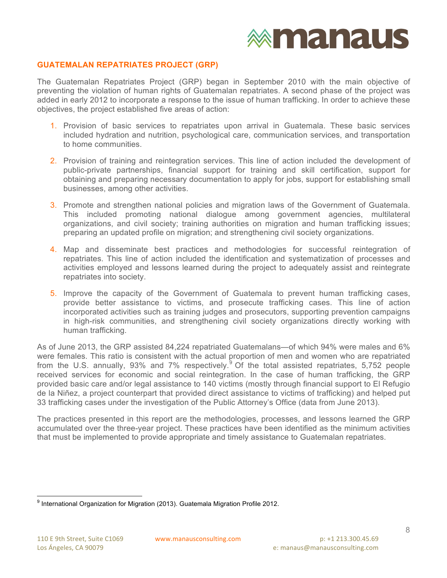#### **GUATEMALAN REPATRIATES PROJECT (GRP)**

The Guatemalan Repatriates Project (GRP) began in September 2010 with the main objective of preventing the violation of human rights of Guatemalan repatriates. A second phase of the project was added in early 2012 to incorporate a response to the issue of human trafficking. In order to achieve these objectives, the project established five areas of action:

- 1. Provision of basic services to repatriates upon arrival in Guatemala. These basic services included hydration and nutrition, psychological care, communication services, and transportation to home communities.
- 2. Provision of training and reintegration services. This line of action included the development of public-private partnerships, financial support for training and skill certification, support for obtaining and preparing necessary documentation to apply for jobs, support for establishing small businesses, among other activities.
- 3. Promote and strengthen national policies and migration laws of the Government of Guatemala. This included promoting national dialogue among government agencies, multilateral organizations, and civil society; training authorities on migration and human trafficking issues; preparing an updated profile on migration; and strengthening civil society organizations.
- 4. Map and disseminate best practices and methodologies for successful reintegration of repatriates. This line of action included the identification and systematization of processes and activities employed and lessons learned during the project to adequately assist and reintegrate repatriates into society.
- 5. Improve the capacity of the Government of Guatemala to prevent human trafficking cases, provide better assistance to victims, and prosecute trafficking cases. This line of action incorporated activities such as training judges and prosecutors, supporting prevention campaigns in high-risk communities, and strengthening civil society organizations directly working with human trafficking.

As of June 2013, the GRP assisted 84,224 repatriated Guatemalans—of which 94% were males and 6% were females. This ratio is consistent with the actual proportion of men and women who are repatriated from the U.S. annually, 93% and 7% respectively.<sup>9</sup> Of the total assisted repatriates, 5,752 people received services for economic and social reintegration. In the case of human trafficking, the GRP provided basic care and/or legal assistance to 140 victims (mostly through financial support to El Refugio de la Niñez, a project counterpart that provided direct assistance to victims of trafficking) and helped put 33 trafficking cases under the investigation of the Public Attorney's Office (data from June 2013).

The practices presented in this report are the methodologies, processes, and lessons learned the GRP accumulated over the three-year project. These practices have been identified as the minimum activities that must be implemented to provide appropriate and timely assistance to Guatemalan repatriates.

<sup>&</sup>lt;sup>9</sup> International Organization for Migration (2013). Guatemala Migration Profile 2012.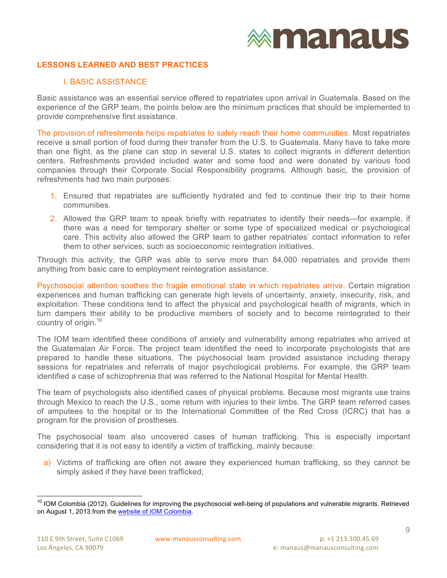#### **LESSONS LEARNED AND BEST PRACTICES**

#### I. BASIC ASSISTANCE

Basic assistance was an essential service offered to repatriates upon arrival in Guatemala. Based on the experience of the GRP team, the points below are the minimum practices that should be implemented to provide comprehensive first assistance.

The provision of refreshments helps repatriates to safely reach their home communities. Most repatriates receive a small portion of food during their transfer from the U.S. to Guatemala. Many have to take more than one flight, as the plane can stop in several U.S. states to collect migrants in different detention centers. Refreshments provided included water and some food and were donated by various food companies through their Corporate Social Responsibility programs. Although basic, the provision of refreshments had two main purposes:

- 1. Ensured that repatriates are sufficiently hydrated and fed to continue their trip to their home communities.
- 2. Allowed the GRP team to speak briefly with repatriates to identify their needs—for example, if there was a need for temporary shelter or some type of specialized medical or psychological care. This activity also allowed the GRP team to gather repatriates' contact information to refer them to other services, such as socioeconomic reintegration initiatives.

Through this activity, the GRP was able to serve more than 84,000 repatriates and provide them anything from basic care to employment reintegration assistance.

Psychosocial attention soothes the fragile emotional state in which repatriates arrive. Certain migration experiences and human trafficking can generate high levels of uncertainty, anxiety, insecurity, risk, and exploitation. These conditions tend to affect the physical and psychological health of migrants, which in turn dampers their ability to be productive members of society and to become reintegrated to their country of origin. 10

The IOM team identified these conditions of anxiety and vulnerability among repatriates who arrived at the Guatemalan Air Force. The project team identified the need to incorporate psychologists that are prepared to handle these situations. The psychosocial team provided assistance including therapy sessions for repatriates and referrals of major psychological problems. For example, the GRP team identified a case of schizophrenia that was referred to the National Hospital for Mental Health.

The team of psychologists also identified cases of physical problems. Because most migrants use trains through Mexico to reach the U.S., some return with injuries to their limbs. The GRP team referred cases of amputees to the hospital or to the International Committee of the Red Cross (ICRC) that has a program for the provision of prostheses.

The psychosocial team also uncovered cases of human trafficking. This is especially important considering that it is not easy to identify a victim of trafficking, mainly because:

a) Victims of trafficking are often not aware they experienced human trafficking, so they cannot be simply asked if they have been trafficked;

<sup>&</sup>lt;sup>10</sup> IOM Colombia (2012). Guidelines for improving the psychosocial well-being of populations and vulnerable migrants. Retrieved on August 1, 2013 from the website of IOM Colombia.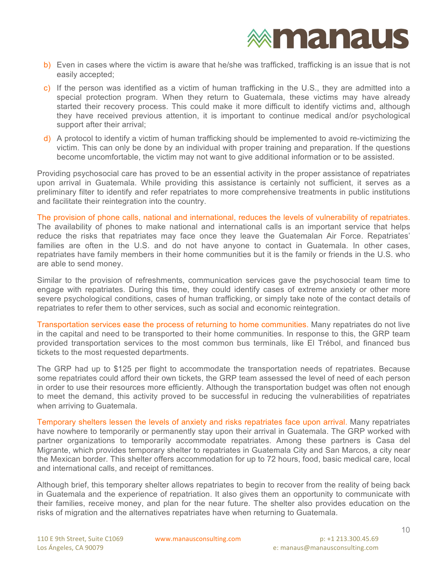- b) Even in cases where the victim is aware that he/she was trafficked, trafficking is an issue that is not easily accepted;
- c) If the person was identified as a victim of human trafficking in the U.S., they are admitted into a special protection program. When they return to Guatemala, these victims may have already started their recovery process. This could make it more difficult to identify victims and, although they have received previous attention, it is important to continue medical and/or psychological support after their arrival;
- d) A protocol to identify a victim of human trafficking should be implemented to avoid re-victimizing the victim. This can only be done by an individual with proper training and preparation. If the questions become uncomfortable, the victim may not want to give additional information or to be assisted.

Providing psychosocial care has proved to be an essential activity in the proper assistance of repatriates upon arrival in Guatemala. While providing this assistance is certainly not sufficient, it serves as a preliminary filter to identify and refer repatriates to more comprehensive treatments in public institutions and facilitate their reintegration into the country.

The provision of phone calls, national and international, reduces the levels of vulnerability of repatriates. The availability of phones to make national and international calls is an important service that helps reduce the risks that repatriates may face once they leave the Guatemalan Air Force. Repatriates' families are often in the U.S. and do not have anyone to contact in Guatemala. In other cases, repatriates have family members in their home communities but it is the family or friends in the U.S. who are able to send money.

Similar to the provision of refreshments, communication services gave the psychosocial team time to engage with repatriates. During this time, they could identify cases of extreme anxiety or other more severe psychological conditions, cases of human trafficking, or simply take note of the contact details of repatriates to refer them to other services, such as social and economic reintegration.

Transportation services ease the process of returning to home communities. Many repatriates do not live in the capital and need to be transported to their home communities. In response to this, the GRP team provided transportation services to the most common bus terminals, like El Trébol, and financed bus tickets to the most requested departments.

The GRP had up to \$125 per flight to accommodate the transportation needs of repatriates. Because some repatriates could afford their own tickets, the GRP team assessed the level of need of each person in order to use their resources more efficiently. Although the transportation budget was often not enough to meet the demand, this activity proved to be successful in reducing the vulnerabilities of repatriates when arriving to Guatemala.

Temporary shelters lessen the levels of anxiety and risks repatriates face upon arrival. Many repatriates have nowhere to temporarily or permanently stay upon their arrival in Guatemala. The GRP worked with partner organizations to temporarily accommodate repatriates. Among these partners is Casa del Migrante, which provides temporary shelter to repatriates in Guatemala City and San Marcos, a city near the Mexican border. This shelter offers accommodation for up to 72 hours, food, basic medical care, local and international calls, and receipt of remittances.

Although brief, this temporary shelter allows repatriates to begin to recover from the reality of being back in Guatemala and the experience of repatriation. It also gives them an opportunity to communicate with their families, receive money, and plan for the near future. The shelter also provides education on the risks of migration and the alternatives repatriates have when returning to Guatemala.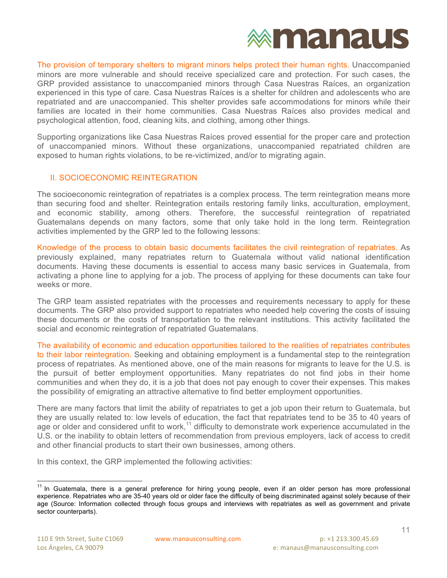

The provision of temporary shelters to migrant minors helps protect their human rights. Unaccompanied minors are more vulnerable and should receive specialized care and protection. For such cases, the GRP provided assistance to unaccompanied minors through Casa Nuestras Raíces, an organization experienced in this type of care. Casa Nuestras Raíces is a shelter for children and adolescents who are repatriated and are unaccompanied. This shelter provides safe accommodations for minors while their families are located in their home communities. Casa Nuestras Raíces also provides medical and psychological attention, food, cleaning kits, and clothing, among other things.

Supporting organizations like Casa Nuestras Raíces proved essential for the proper care and protection of unaccompanied minors. Without these organizations, unaccompanied repatriated children are exposed to human rights violations, to be re-victimized, and/or to migrating again.

#### II. SOCIOECONOMIC REINTEGRATION

The socioeconomic reintegration of repatriates is a complex process. The term reintegration means more than securing food and shelter. Reintegration entails restoring family links, acculturation, employment, and economic stability, among others. Therefore, the successful reintegration of repatriated Guatemalans depends on many factors, some that only take hold in the long term. Reintegration activities implemented by the GRP led to the following lessons:

Knowledge of the process to obtain basic documents facilitates the civil reintegration of repatriates. As previously explained, many repatriates return to Guatemala without valid national identification documents. Having these documents is essential to access many basic services in Guatemala, from activating a phone line to applying for a job. The process of applying for these documents can take four weeks or more.

The GRP team assisted repatriates with the processes and requirements necessary to apply for these documents. The GRP also provided support to repatriates who needed help covering the costs of issuing these documents or the costs of transportation to the relevant institutions. This activity facilitated the social and economic reintegration of repatriated Guatemalans.

The availability of economic and education opportunities tailored to the realities of repatriates contributes to their labor reintegration. Seeking and obtaining employment is a fundamental step to the reintegration process of repatriates. As mentioned above, one of the main reasons for migrants to leave for the U.S. is the pursuit of better employment opportunities. Many repatriates do not find jobs in their home communities and when they do, it is a job that does not pay enough to cover their expenses. This makes the possibility of emigrating an attractive alternative to find better employment opportunities.

There are many factors that limit the ability of repatriates to get a job upon their return to Guatemala, but they are usually related to: low levels of education, the fact that repatriates tend to be 35 to 40 years of age or older and considered unfit to work,<sup>11</sup> difficulty to demonstrate work experience accumulated in the U.S. or the inability to obtain letters of recommendation from previous employers, lack of access to credit and other financial products to start their own businesses, among others.

In this context, the GRP implemented the following activities:

<sup>&</sup>lt;sup>11</sup> In Guatemala, there is a general preference for hiring young people, even if an older person has more professional experience. Repatriates who are 35-40 years old or older face the difficulty of being discriminated against solely because of their age (Source: Information collected through focus groups and interviews with repatriates as well as government and private sector counterparts).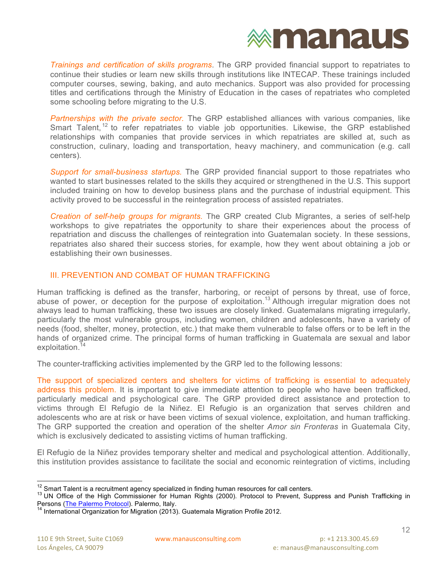

*Trainings and certification of skills programs*. The GRP provided financial support to repatriates to continue their studies or learn new skills through institutions like INTECAP. These trainings included computer courses, sewing, baking, and auto mechanics. Support was also provided for processing titles and certifications through the Ministry of Education in the cases of repatriates who completed some schooling before migrating to the U.S.

*Partnerships with the private sector.* The GRP established alliances with various companies, like Smart Talent,<sup>12</sup> to refer repatriates to viable job opportunities. Likewise, the GRP established relationships with companies that provide services in which repatriates are skilled at, such as construction, culinary, loading and transportation, heavy machinery, and communication (e.g. call centers).

*Support for small-business startups.* The GRP provided financial support to those repatriates who wanted to start businesses related to the skills they acquired or strengthened in the U.S. This support included training on how to develop business plans and the purchase of industrial equipment. This activity proved to be successful in the reintegration process of assisted repatriates.

*Creation of self-help groups for migrants.* The GRP created Club Migrantes, a series of self-help workshops to give repatriates the opportunity to share their experiences about the process of repatriation and discuss the challenges of reintegration into Guatemalan society. In these sessions, repatriates also shared their success stories, for example, how they went about obtaining a job or establishing their own businesses.

#### III. PREVENTION AND COMBAT OF HUMAN TRAFFICKING

Human trafficking is defined as the transfer, harboring, or receipt of persons by threat, use of force, abuse of power, or deception for the purpose of exploitation.<sup>13</sup> Although irregular migration does not always lead to human trafficking, these two issues are closely linked. Guatemalans migrating irregularly, particularly the most vulnerable groups, including women, children and adolescents, have a variety of needs (food, shelter, money, protection, etc.) that make them vulnerable to false offers or to be left in the hands of organized crime. The principal forms of human trafficking in Guatemala are sexual and labor exploitation.<sup>14</sup>

The counter-trafficking activities implemented by the GRP led to the following lessons:

The support of specialized centers and shelters for victims of trafficking is essential to adequately address this problem. It is important to give immediate attention to people who have been trafficked, particularly medical and psychological care. The GRP provided direct assistance and protection to victims through El Refugio de la Niñez. El Refugio is an organization that serves children and adolescents who are at risk or have been victims of sexual violence, exploitation, and human trafficking. The GRP supported the creation and operation of the shelter *Amor sin Fronteras* in Guatemala City, which is exclusively dedicated to assisting victims of human trafficking.

El Refugio de la Niñez provides temporary shelter and medical and psychological attention. Additionally, this institution provides assistance to facilitate the social and economic reintegration of victims, including

<sup>&</sup>lt;sup>12</sup> Smart Talent is a recruitment agency specialized in finding human resources for call centers.<br><sup>13</sup> UN Office of the High Commissioner for Human Rights (2000). Protocol to Prevent, Suppress and Punish Trafficking in<br>P

International Organization for Migration (2013). Guatemala Migration Profile 2012.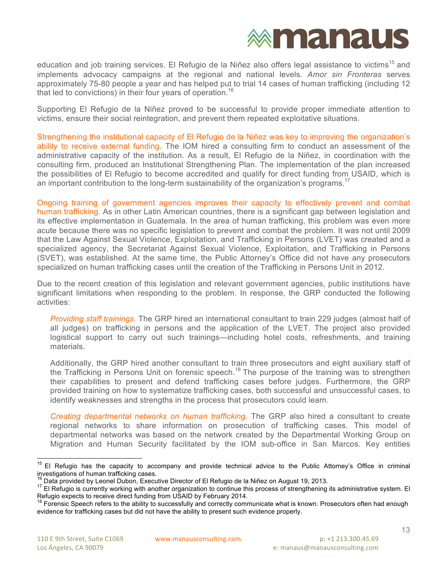### **exmanaus**

education and job training services. El Refugio de la Niñez also offers legal assistance to victims<sup>15</sup> and implements advocacy campaigns at the regional and national levels. *Amor sin Fronteras* serves approximately 75-80 people a year and has helped put to trial 14 cases of human trafficking (including 12 that led to convictions) in their four years of operation.<sup>16</sup>

Supporting El Refugio de la Niñez proved to be successful to provide proper immediate attention to victims, ensure their social reintegration, and prevent them repeated exploitative situations.

Strengthening the institutional capacity of El Refugio de la Niñez was key to improving the organization's ability to receive external funding. The IOM hired a consulting firm to conduct an assessment of the administrative capacity of the institution. As a result, El Refugio de la Niñez, in coordination with the consulting firm, produced an Institutional Strengthening Plan. The implementation of the plan increased the possibilities of El Refugio to become accredited and qualify for direct funding from USAID, which is an important contribution to the long-term sustainability of the organization's programs.<sup>17</sup>

Ongoing training of government agencies improves their capacity to effectively prevent and combat human trafficking. As in other Latin American countries, there is a significant gap between legislation and its effective implementation in Guatemala. In the area of human trafficking, this problem was even more acute because there was no specific legislation to prevent and combat the problem. It was not until 2009 that the Law Against Sexual Violence, Exploitation, and Trafficking in Persons (LVET) was created and a specialized agency, the Secretariat Against Sexual Violence, Exploitation, and Trafficking in Persons (SVET), was established. At the same time, the Public Attorney's Office did not have any prosecutors specialized on human trafficking cases until the creation of the Trafficking in Persons Unit in 2012.

Due to the recent creation of this legislation and relevant government agencies, public institutions have significant limitations when responding to the problem. In response, the GRP conducted the following activities:

*Providing staff trainings.* The GRP hired an international consultant to train 229 judges (almost half of all judges) on trafficking in persons and the application of the LVET. The project also provided logistical support to carry out such trainings—including hotel costs, refreshments, and training materials.

Additionally, the GRP hired another consultant to train three prosecutors and eight auxiliary staff of the Trafficking in Persons Unit on forensic speech.<sup>18</sup> The purpose of the training was to strengthen their capabilities to present and defend trafficking cases before judges. Furthermore, the GRP provided training on how to systematize trafficking cases, both successful and unsuccessful cases, to identify weaknesses and strengths in the process that prosecutors could learn.

*Creating departmental networks on human trafficking.* The GRP also hired a consultant to create regional networks to share information on prosecution of trafficking cases. This model of departmental networks was based on the network created by the Departmental Working Group on Migration and Human Security facilitated by the IOM sub-office in San Marcos. Key entities

 $15$  El Refugio has the capacity to accompany and provide technical advice to the Public Attorney's Office in criminal investigations of human trafficking cases.

<sup>&</sup>lt;sup>16</sup> Data provided by Leonel Dubon, Executive Director of El Refugio de la Niñez on August 19, 2013.<br><sup>17</sup> El Refugio is currently working with another organization to continue this process of strengthening its administrati

Forensic Speech refers to the ability to successfully and correctly communicate what is known. Prosecutors often had enough evidence for trafficking cases but did not have the ability to present such evidence properly.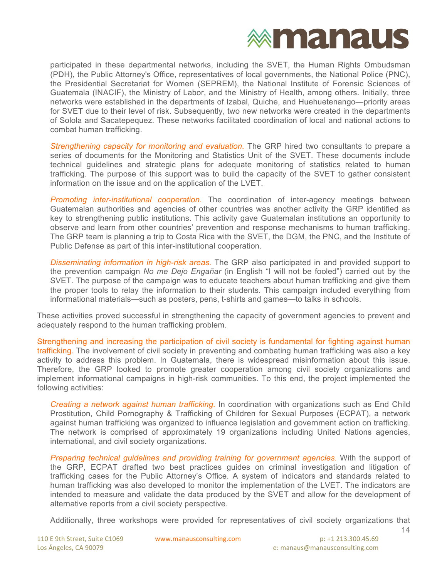participated in these departmental networks, including the SVET, the Human Rights Ombudsman (PDH), the Public Attorney's Office, representatives of local governments, the National Police (PNC), the Presidential Secretariat for Women (SEPREM), the National Institute of Forensic Sciences of Guatemala (INACIF), the Ministry of Labor, and the Ministry of Health, among others. Initially, three networks were established in the departments of Izabal, Quiche, and Huehuetenango—priority areas for SVET due to their level of risk. Subsequently, two new networks were created in the departments of Solola and Sacatepequez. These networks facilitated coordination of local and national actions to combat human trafficking.

*Strengthening capacity for monitoring and evaluation.* The GRP hired two consultants to prepare a series of documents for the Monitoring and Statistics Unit of the SVET. These documents include technical guidelines and strategic plans for adequate monitoring of statistics related to human trafficking. The purpose of this support was to build the capacity of the SVET to gather consistent information on the issue and on the application of the LVET.

*Promoting inter-institutional cooperation.* The coordination of inter-agency meetings between Guatemalan authorities and agencies of other countries was another activity the GRP identified as key to strengthening public institutions. This activity gave Guatemalan institutions an opportunity to observe and learn from other countries' prevention and response mechanisms to human trafficking. The GRP team is planning a trip to Costa Rica with the SVET, the DGM, the PNC, and the Institute of Public Defense as part of this inter-institutional cooperation.

*Disseminating information in high-risk areas.* The GRP also participated in and provided support to the prevention campaign *No me Dejo Engañar* (in English "I will not be fooled") carried out by the SVET. The purpose of the campaign was to educate teachers about human trafficking and give them the proper tools to relay the information to their students. This campaign included everything from informational materials—such as posters, pens, t-shirts and games—to talks in schools.

These activities proved successful in strengthening the capacity of government agencies to prevent and adequately respond to the human trafficking problem.

Strengthening and increasing the participation of civil society is fundamental for fighting against human trafficking. The involvement of civil society in preventing and combating human trafficking was also a key activity to address this problem. In Guatemala, there is widespread misinformation about this issue. Therefore, the GRP looked to promote greater cooperation among civil society organizations and implement informational campaigns in high-risk communities. To this end, the project implemented the following activities:

*Creating a network against human trafficking.* In coordination with organizations such as End Child Prostitution, Child Pornography & Trafficking of Children for Sexual Purposes (ECPAT), a network against human trafficking was organized to influence legislation and government action on trafficking. The network is comprised of approximately 19 organizations including United Nations agencies, international, and civil society organizations.

*Preparing technical guidelines and providing training for government agencies.* With the support of the GRP, ECPAT drafted two best practices guides on criminal investigation and litigation of trafficking cases for the Public Attorney's Office. A system of indicators and standards related to human trafficking was also developed to monitor the implementation of the LVET. The indicators are intended to measure and validate the data produced by the SVET and allow for the development of alternative reports from a civil society perspective.

Additionally, three workshops were provided for representatives of civil society organizations that

14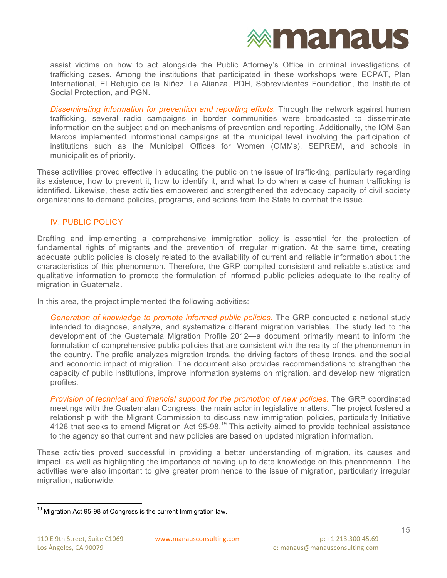

assist victims on how to act alongside the Public Attorney's Office in criminal investigations of trafficking cases. Among the institutions that participated in these workshops were ECPAT, Plan International, El Refugio de la Niñez, La Alianza, PDH, Sobrevivientes Foundation, the Institute of Social Protection, and PGN.

*Disseminating information for prevention and reporting efforts.* Through the network against human trafficking, several radio campaigns in border communities were broadcasted to disseminate information on the subject and on mechanisms of prevention and reporting. Additionally, the IOM San Marcos implemented informational campaigns at the municipal level involving the participation of institutions such as the Municipal Offices for Women (OMMs), SEPREM, and schools in municipalities of priority.

These activities proved effective in educating the public on the issue of trafficking, particularly regarding its existence, how to prevent it, how to identify it, and what to do when a case of human trafficking is identified. Likewise, these activities empowered and strengthened the advocacy capacity of civil society organizations to demand policies, programs, and actions from the State to combat the issue.

#### IV. PUBLIC POLICY

Drafting and implementing a comprehensive immigration policy is essential for the protection of fundamental rights of migrants and the prevention of irregular migration. At the same time, creating adequate public policies is closely related to the availability of current and reliable information about the characteristics of this phenomenon. Therefore, the GRP compiled consistent and reliable statistics and qualitative information to promote the formulation of informed public policies adequate to the reality of migration in Guatemala.

In this area, the project implemented the following activities:

*Generation of knowledge to promote informed public policies.* The GRP conducted a national study intended to diagnose, analyze, and systematize different migration variables. The study led to the development of the Guatemala Migration Profile 2012—a document primarily meant to inform the formulation of comprehensive public policies that are consistent with the reality of the phenomenon in the country. The profile analyzes migration trends, the driving factors of these trends, and the social and economic impact of migration. The document also provides recommendations to strengthen the capacity of public institutions, improve information systems on migration, and develop new migration profiles.

*Provision of technical and financial support for the promotion of new policies.* The GRP coordinated meetings with the Guatemalan Congress, the main actor in legislative matters. The project fostered a relationship with the Migrant Commission to discuss new immigration policies, particularly Initiative 4126 that seeks to amend Migration Act 95-98.<sup>19</sup> This activity aimed to provide technical assistance to the agency so that current and new policies are based on updated migration information.

These activities proved successful in providing a better understanding of migration, its causes and impact, as well as highlighting the importance of having up to date knowledge on this phenomenon. The activities were also important to give greater prominence to the issue of migration, particularly irregular migration, nationwide.

 $19$  Migration Act 95-98 of Congress is the current Immigration law.